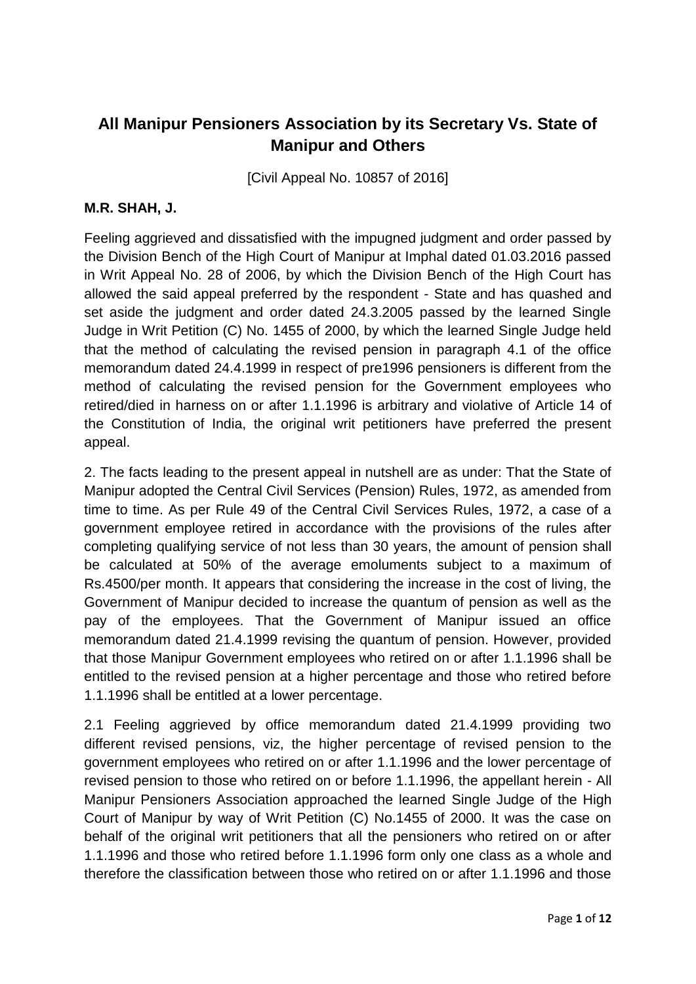## **All Manipur Pensioners Association by its Secretary Vs. State of Manipur and Others**

[Civil Appeal No. 10857 of 2016]

## **M.R. SHAH, J.**

Feeling aggrieved and dissatisfied with the impugned judgment and order passed by the Division Bench of the High Court of Manipur at Imphal dated 01.03.2016 passed in Writ Appeal No. 28 of 2006, by which the Division Bench of the High Court has allowed the said appeal preferred by the respondent - State and has quashed and set aside the judgment and order dated 24.3.2005 passed by the learned Single Judge in Writ Petition (C) No. 1455 of 2000, by which the learned Single Judge held that the method of calculating the revised pension in paragraph 4.1 of the office memorandum dated 24.4.1999 in respect of pre1996 pensioners is different from the method of calculating the revised pension for the Government employees who retired/died in harness on or after 1.1.1996 is arbitrary and violative of Article 14 of the Constitution of India, the original writ petitioners have preferred the present appeal.

2. The facts leading to the present appeal in nutshell are as under: That the State of Manipur adopted the Central Civil Services (Pension) Rules, 1972, as amended from time to time. As per Rule 49 of the Central Civil Services Rules, 1972, a case of a government employee retired in accordance with the provisions of the rules after completing qualifying service of not less than 30 years, the amount of pension shall be calculated at 50% of the average emoluments subject to a maximum of Rs.4500/per month. It appears that considering the increase in the cost of living, the Government of Manipur decided to increase the quantum of pension as well as the pay of the employees. That the Government of Manipur issued an office memorandum dated 21.4.1999 revising the quantum of pension. However, provided that those Manipur Government employees who retired on or after 1.1.1996 shall be entitled to the revised pension at a higher percentage and those who retired before 1.1.1996 shall be entitled at a lower percentage.

2.1 Feeling aggrieved by office memorandum dated 21.4.1999 providing two different revised pensions, viz, the higher percentage of revised pension to the government employees who retired on or after 1.1.1996 and the lower percentage of revised pension to those who retired on or before 1.1.1996, the appellant herein - All Manipur Pensioners Association approached the learned Single Judge of the High Court of Manipur by way of Writ Petition (C) No.1455 of 2000. It was the case on behalf of the original writ petitioners that all the pensioners who retired on or after 1.1.1996 and those who retired before 1.1.1996 form only one class as a whole and therefore the classification between those who retired on or after 1.1.1996 and those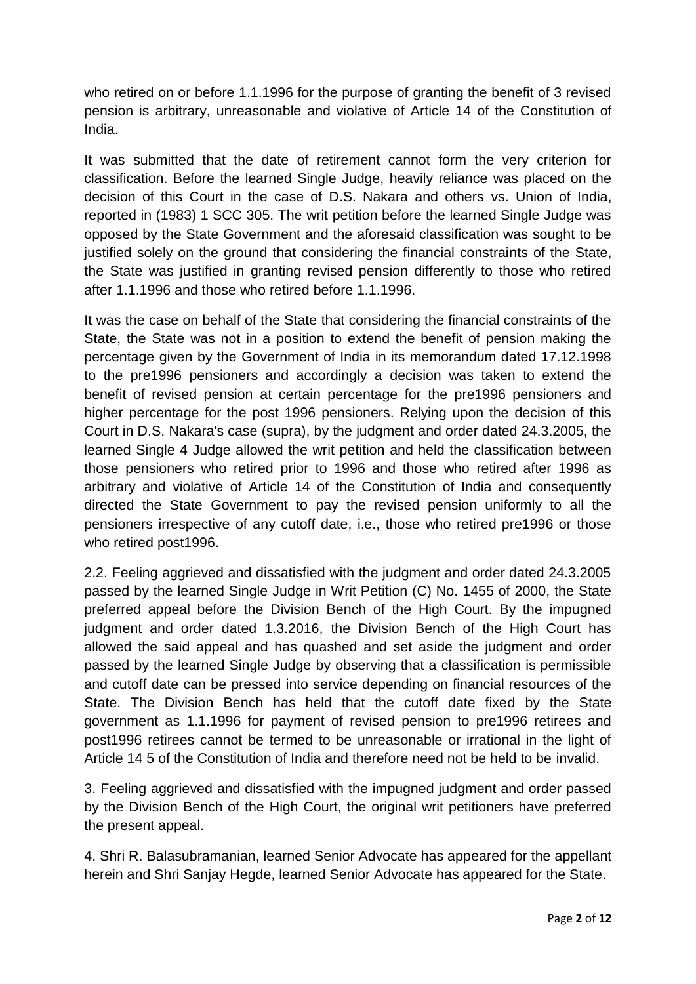who retired on or before 1.1.1996 for the purpose of granting the benefit of 3 revised pension is arbitrary, unreasonable and violative of Article 14 of the Constitution of India.

It was submitted that the date of retirement cannot form the very criterion for classification. Before the learned Single Judge, heavily reliance was placed on the decision of this Court in the case of D.S. Nakara and others vs. Union of India, reported in (1983) 1 SCC 305. The writ petition before the learned Single Judge was opposed by the State Government and the aforesaid classification was sought to be justified solely on the ground that considering the financial constraints of the State, the State was justified in granting revised pension differently to those who retired after 1.1.1996 and those who retired before 1.1.1996.

It was the case on behalf of the State that considering the financial constraints of the State, the State was not in a position to extend the benefit of pension making the percentage given by the Government of India in its memorandum dated 17.12.1998 to the pre1996 pensioners and accordingly a decision was taken to extend the benefit of revised pension at certain percentage for the pre1996 pensioners and higher percentage for the post 1996 pensioners. Relying upon the decision of this Court in D.S. Nakara's case (supra), by the judgment and order dated 24.3.2005, the learned Single 4 Judge allowed the writ petition and held the classification between those pensioners who retired prior to 1996 and those who retired after 1996 as arbitrary and violative of Article 14 of the Constitution of India and consequently directed the State Government to pay the revised pension uniformly to all the pensioners irrespective of any cutoff date, i.e., those who retired pre1996 or those who retired post1996.

2.2. Feeling aggrieved and dissatisfied with the judgment and order dated 24.3.2005 passed by the learned Single Judge in Writ Petition (C) No. 1455 of 2000, the State preferred appeal before the Division Bench of the High Court. By the impugned judgment and order dated 1.3.2016, the Division Bench of the High Court has allowed the said appeal and has quashed and set aside the judgment and order passed by the learned Single Judge by observing that a classification is permissible and cutoff date can be pressed into service depending on financial resources of the State. The Division Bench has held that the cutoff date fixed by the State government as 1.1.1996 for payment of revised pension to pre1996 retirees and post1996 retirees cannot be termed to be unreasonable or irrational in the light of Article 14 5 of the Constitution of India and therefore need not be held to be invalid.

3. Feeling aggrieved and dissatisfied with the impugned judgment and order passed by the Division Bench of the High Court, the original writ petitioners have preferred the present appeal.

4. Shri R. Balasubramanian, learned Senior Advocate has appeared for the appellant herein and Shri Sanjay Hegde, learned Senior Advocate has appeared for the State.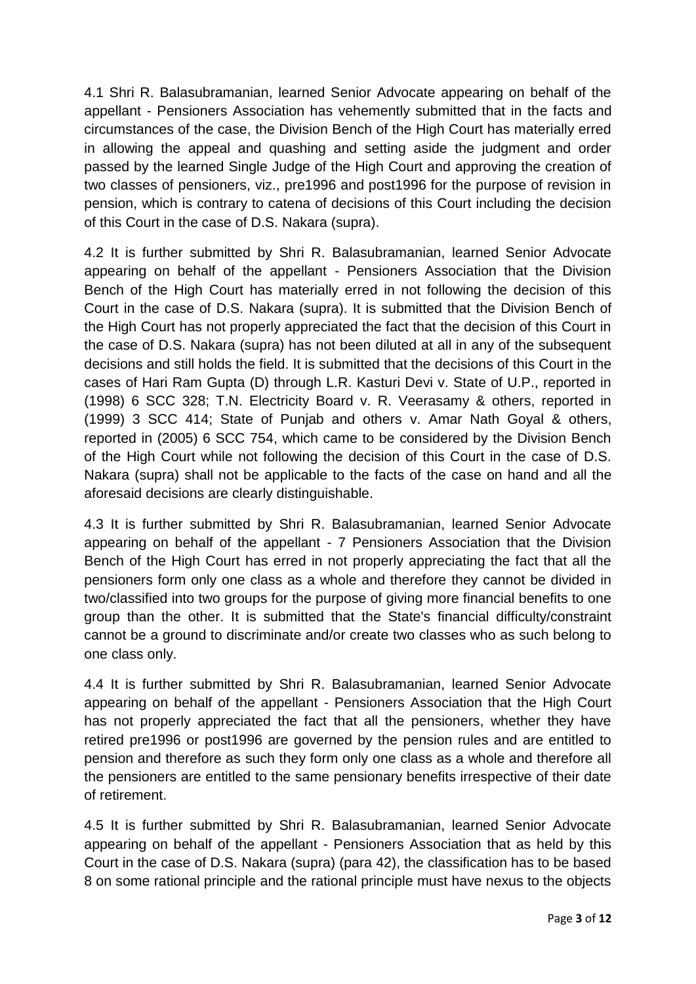4.1 Shri R. Balasubramanian, learned Senior Advocate appearing on behalf of the appellant - Pensioners Association has vehemently submitted that in the facts and circumstances of the case, the Division Bench of the High Court has materially erred in allowing the appeal and quashing and setting aside the judgment and order passed by the learned Single Judge of the High Court and approving the creation of two classes of pensioners, viz., pre1996 and post1996 for the purpose of revision in pension, which is contrary to catena of decisions of this Court including the decision of this Court in the case of D.S. Nakara (supra).

4.2 It is further submitted by Shri R. Balasubramanian, learned Senior Advocate appearing on behalf of the appellant - Pensioners Association that the Division Bench of the High Court has materially erred in not following the decision of this Court in the case of D.S. Nakara (supra). It is submitted that the Division Bench of the High Court has not properly appreciated the fact that the decision of this Court in the case of D.S. Nakara (supra) has not been diluted at all in any of the subsequent decisions and still holds the field. It is submitted that the decisions of this Court in the cases of Hari Ram Gupta (D) through L.R. Kasturi Devi v. State of U.P., reported in (1998) 6 SCC 328; T.N. Electricity Board v. R. Veerasamy & others, reported in (1999) 3 SCC 414; State of Punjab and others v. Amar Nath Goyal & others, reported in (2005) 6 SCC 754, which came to be considered by the Division Bench of the High Court while not following the decision of this Court in the case of D.S. Nakara (supra) shall not be applicable to the facts of the case on hand and all the aforesaid decisions are clearly distinguishable.

4.3 It is further submitted by Shri R. Balasubramanian, learned Senior Advocate appearing on behalf of the appellant - 7 Pensioners Association that the Division Bench of the High Court has erred in not properly appreciating the fact that all the pensioners form only one class as a whole and therefore they cannot be divided in two/classified into two groups for the purpose of giving more financial benefits to one group than the other. It is submitted that the State's financial difficulty/constraint cannot be a ground to discriminate and/or create two classes who as such belong to one class only.

4.4 It is further submitted by Shri R. Balasubramanian, learned Senior Advocate appearing on behalf of the appellant - Pensioners Association that the High Court has not properly appreciated the fact that all the pensioners, whether they have retired pre1996 or post1996 are governed by the pension rules and are entitled to pension and therefore as such they form only one class as a whole and therefore all the pensioners are entitled to the same pensionary benefits irrespective of their date of retirement.

4.5 It is further submitted by Shri R. Balasubramanian, learned Senior Advocate appearing on behalf of the appellant - Pensioners Association that as held by this Court in the case of D.S. Nakara (supra) (para 42), the classification has to be based 8 on some rational principle and the rational principle must have nexus to the objects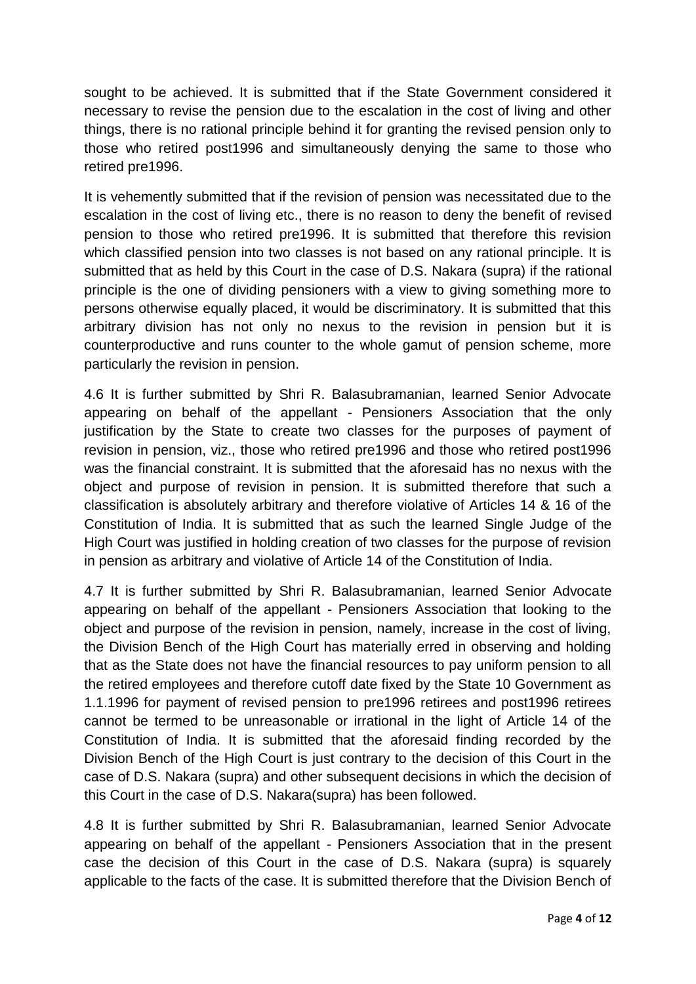sought to be achieved. It is submitted that if the State Government considered it necessary to revise the pension due to the escalation in the cost of living and other things, there is no rational principle behind it for granting the revised pension only to those who retired post1996 and simultaneously denying the same to those who retired pre1996.

It is vehemently submitted that if the revision of pension was necessitated due to the escalation in the cost of living etc., there is no reason to deny the benefit of revised pension to those who retired pre1996. It is submitted that therefore this revision which classified pension into two classes is not based on any rational principle. It is submitted that as held by this Court in the case of D.S. Nakara (supra) if the rational principle is the one of dividing pensioners with a view to giving something more to persons otherwise equally placed, it would be discriminatory. It is submitted that this arbitrary division has not only no nexus to the revision in pension but it is counterproductive and runs counter to the whole gamut of pension scheme, more particularly the revision in pension.

4.6 It is further submitted by Shri R. Balasubramanian, learned Senior Advocate appearing on behalf of the appellant - Pensioners Association that the only justification by the State to create two classes for the purposes of payment of revision in pension, viz., those who retired pre1996 and those who retired post1996 was the financial constraint. It is submitted that the aforesaid has no nexus with the object and purpose of revision in pension. It is submitted therefore that such a classification is absolutely arbitrary and therefore violative of Articles 14 & 16 of the Constitution of India. It is submitted that as such the learned Single Judge of the High Court was justified in holding creation of two classes for the purpose of revision in pension as arbitrary and violative of Article 14 of the Constitution of India.

4.7 It is further submitted by Shri R. Balasubramanian, learned Senior Advocate appearing on behalf of the appellant - Pensioners Association that looking to the object and purpose of the revision in pension, namely, increase in the cost of living, the Division Bench of the High Court has materially erred in observing and holding that as the State does not have the financial resources to pay uniform pension to all the retired employees and therefore cutoff date fixed by the State 10 Government as 1.1.1996 for payment of revised pension to pre1996 retirees and post1996 retirees cannot be termed to be unreasonable or irrational in the light of Article 14 of the Constitution of India. It is submitted that the aforesaid finding recorded by the Division Bench of the High Court is just contrary to the decision of this Court in the case of D.S. Nakara (supra) and other subsequent decisions in which the decision of this Court in the case of D.S. Nakara(supra) has been followed.

4.8 It is further submitted by Shri R. Balasubramanian, learned Senior Advocate appearing on behalf of the appellant - Pensioners Association that in the present case the decision of this Court in the case of D.S. Nakara (supra) is squarely applicable to the facts of the case. It is submitted therefore that the Division Bench of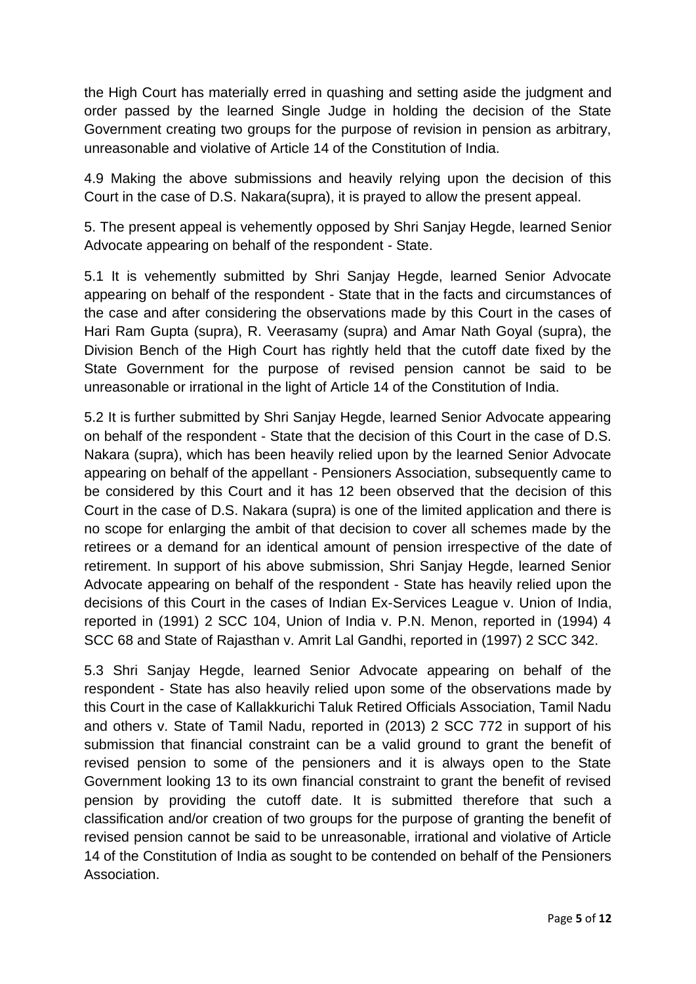the High Court has materially erred in quashing and setting aside the judgment and order passed by the learned Single Judge in holding the decision of the State Government creating two groups for the purpose of revision in pension as arbitrary, unreasonable and violative of Article 14 of the Constitution of India.

4.9 Making the above submissions and heavily relying upon the decision of this Court in the case of D.S. Nakara(supra), it is prayed to allow the present appeal.

5. The present appeal is vehemently opposed by Shri Sanjay Hegde, learned Senior Advocate appearing on behalf of the respondent - State.

5.1 It is vehemently submitted by Shri Sanjay Hegde, learned Senior Advocate appearing on behalf of the respondent - State that in the facts and circumstances of the case and after considering the observations made by this Court in the cases of Hari Ram Gupta (supra), R. Veerasamy (supra) and Amar Nath Goyal (supra), the Division Bench of the High Court has rightly held that the cutoff date fixed by the State Government for the purpose of revised pension cannot be said to be unreasonable or irrational in the light of Article 14 of the Constitution of India.

5.2 It is further submitted by Shri Sanjay Hegde, learned Senior Advocate appearing on behalf of the respondent - State that the decision of this Court in the case of D.S. Nakara (supra), which has been heavily relied upon by the learned Senior Advocate appearing on behalf of the appellant - Pensioners Association, subsequently came to be considered by this Court and it has 12 been observed that the decision of this Court in the case of D.S. Nakara (supra) is one of the limited application and there is no scope for enlarging the ambit of that decision to cover all schemes made by the retirees or a demand for an identical amount of pension irrespective of the date of retirement. In support of his above submission, Shri Sanjay Hegde, learned Senior Advocate appearing on behalf of the respondent - State has heavily relied upon the decisions of this Court in the cases of Indian Ex-Services League v. Union of India, reported in (1991) 2 SCC 104, Union of India v. P.N. Menon, reported in (1994) 4 SCC 68 and State of Rajasthan v. Amrit Lal Gandhi, reported in (1997) 2 SCC 342.

5.3 Shri Sanjay Hegde, learned Senior Advocate appearing on behalf of the respondent - State has also heavily relied upon some of the observations made by this Court in the case of Kallakkurichi Taluk Retired Officials Association, Tamil Nadu and others v. State of Tamil Nadu, reported in (2013) 2 SCC 772 in support of his submission that financial constraint can be a valid ground to grant the benefit of revised pension to some of the pensioners and it is always open to the State Government looking 13 to its own financial constraint to grant the benefit of revised pension by providing the cutoff date. It is submitted therefore that such a classification and/or creation of two groups for the purpose of granting the benefit of revised pension cannot be said to be unreasonable, irrational and violative of Article 14 of the Constitution of India as sought to be contended on behalf of the Pensioners Association.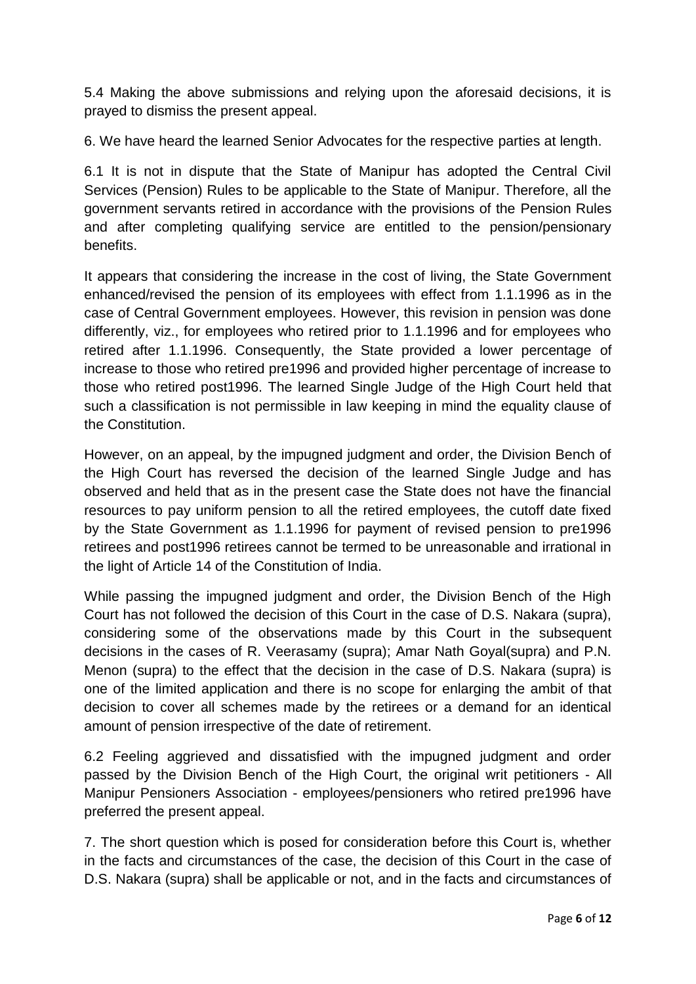5.4 Making the above submissions and relying upon the aforesaid decisions, it is prayed to dismiss the present appeal.

6. We have heard the learned Senior Advocates for the respective parties at length.

6.1 It is not in dispute that the State of Manipur has adopted the Central Civil Services (Pension) Rules to be applicable to the State of Manipur. Therefore, all the government servants retired in accordance with the provisions of the Pension Rules and after completing qualifying service are entitled to the pension/pensionary benefits.

It appears that considering the increase in the cost of living, the State Government enhanced/revised the pension of its employees with effect from 1.1.1996 as in the case of Central Government employees. However, this revision in pension was done differently, viz., for employees who retired prior to 1.1.1996 and for employees who retired after 1.1.1996. Consequently, the State provided a lower percentage of increase to those who retired pre1996 and provided higher percentage of increase to those who retired post1996. The learned Single Judge of the High Court held that such a classification is not permissible in law keeping in mind the equality clause of the Constitution.

However, on an appeal, by the impugned judgment and order, the Division Bench of the High Court has reversed the decision of the learned Single Judge and has observed and held that as in the present case the State does not have the financial resources to pay uniform pension to all the retired employees, the cutoff date fixed by the State Government as 1.1.1996 for payment of revised pension to pre1996 retirees and post1996 retirees cannot be termed to be unreasonable and irrational in the light of Article 14 of the Constitution of India.

While passing the impugned judgment and order, the Division Bench of the High Court has not followed the decision of this Court in the case of D.S. Nakara (supra), considering some of the observations made by this Court in the subsequent decisions in the cases of R. Veerasamy (supra); Amar Nath Goyal(supra) and P.N. Menon (supra) to the effect that the decision in the case of D.S. Nakara (supra) is one of the limited application and there is no scope for enlarging the ambit of that decision to cover all schemes made by the retirees or a demand for an identical amount of pension irrespective of the date of retirement.

6.2 Feeling aggrieved and dissatisfied with the impugned judgment and order passed by the Division Bench of the High Court, the original writ petitioners - All Manipur Pensioners Association - employees/pensioners who retired pre1996 have preferred the present appeal.

7. The short question which is posed for consideration before this Court is, whether in the facts and circumstances of the case, the decision of this Court in the case of D.S. Nakara (supra) shall be applicable or not, and in the facts and circumstances of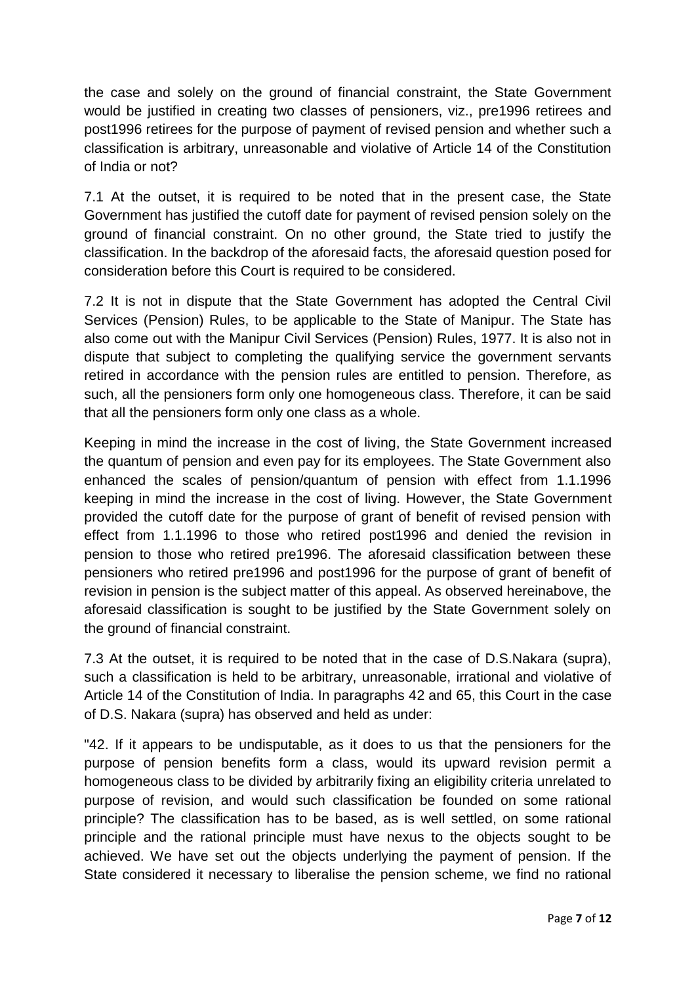the case and solely on the ground of financial constraint, the State Government would be justified in creating two classes of pensioners, viz., pre1996 retirees and post1996 retirees for the purpose of payment of revised pension and whether such a classification is arbitrary, unreasonable and violative of Article 14 of the Constitution of India or not?

7.1 At the outset, it is required to be noted that in the present case, the State Government has justified the cutoff date for payment of revised pension solely on the ground of financial constraint. On no other ground, the State tried to justify the classification. In the backdrop of the aforesaid facts, the aforesaid question posed for consideration before this Court is required to be considered.

7.2 It is not in dispute that the State Government has adopted the Central Civil Services (Pension) Rules, to be applicable to the State of Manipur. The State has also come out with the Manipur Civil Services (Pension) Rules, 1977. It is also not in dispute that subject to completing the qualifying service the government servants retired in accordance with the pension rules are entitled to pension. Therefore, as such, all the pensioners form only one homogeneous class. Therefore, it can be said that all the pensioners form only one class as a whole.

Keeping in mind the increase in the cost of living, the State Government increased the quantum of pension and even pay for its employees. The State Government also enhanced the scales of pension/quantum of pension with effect from 1.1.1996 keeping in mind the increase in the cost of living. However, the State Government provided the cutoff date for the purpose of grant of benefit of revised pension with effect from 1.1.1996 to those who retired post1996 and denied the revision in pension to those who retired pre1996. The aforesaid classification between these pensioners who retired pre1996 and post1996 for the purpose of grant of benefit of revision in pension is the subject matter of this appeal. As observed hereinabove, the aforesaid classification is sought to be justified by the State Government solely on the ground of financial constraint.

7.3 At the outset, it is required to be noted that in the case of D.S.Nakara (supra), such a classification is held to be arbitrary, unreasonable, irrational and violative of Article 14 of the Constitution of India. In paragraphs 42 and 65, this Court in the case of D.S. Nakara (supra) has observed and held as under:

"42. If it appears to be undisputable, as it does to us that the pensioners for the purpose of pension benefits form a class, would its upward revision permit a homogeneous class to be divided by arbitrarily fixing an eligibility criteria unrelated to purpose of revision, and would such classification be founded on some rational principle? The classification has to be based, as is well settled, on some rational principle and the rational principle must have nexus to the objects sought to be achieved. We have set out the objects underlying the payment of pension. If the State considered it necessary to liberalise the pension scheme, we find no rational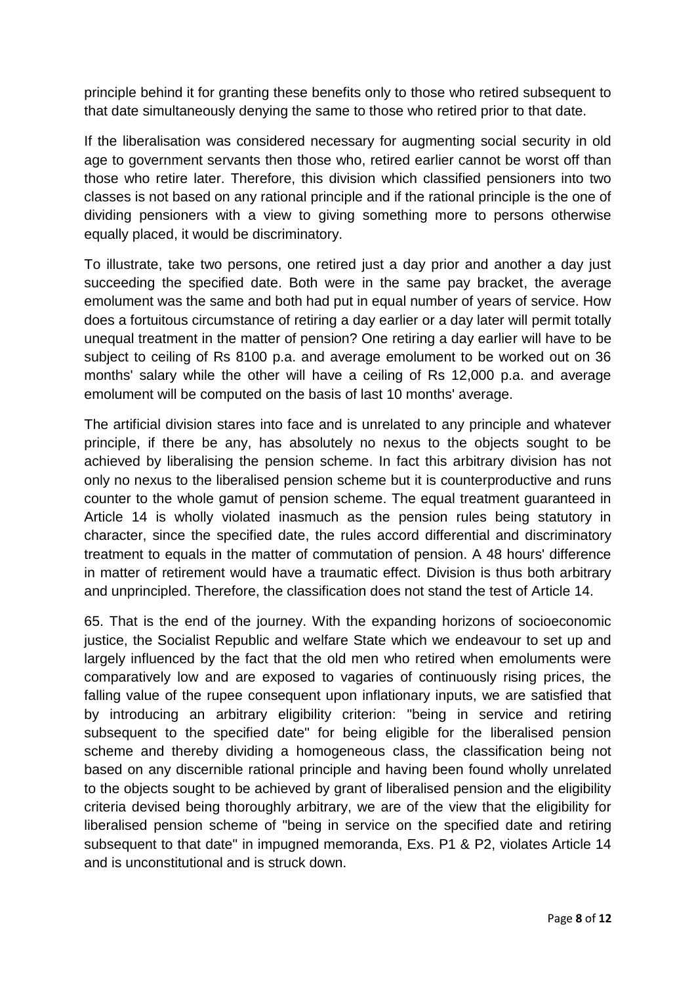principle behind it for granting these benefits only to those who retired subsequent to that date simultaneously denying the same to those who retired prior to that date.

If the liberalisation was considered necessary for augmenting social security in old age to government servants then those who, retired earlier cannot be worst off than those who retire later. Therefore, this division which classified pensioners into two classes is not based on any rational principle and if the rational principle is the one of dividing pensioners with a view to giving something more to persons otherwise equally placed, it would be discriminatory.

To illustrate, take two persons, one retired just a day prior and another a day just succeeding the specified date. Both were in the same pay bracket, the average emolument was the same and both had put in equal number of years of service. How does a fortuitous circumstance of retiring a day earlier or a day later will permit totally unequal treatment in the matter of pension? One retiring a day earlier will have to be subject to ceiling of Rs 8100 p.a. and average emolument to be worked out on 36 months' salary while the other will have a ceiling of Rs 12,000 p.a. and average emolument will be computed on the basis of last 10 months' average.

The artificial division stares into face and is unrelated to any principle and whatever principle, if there be any, has absolutely no nexus to the objects sought to be achieved by liberalising the pension scheme. In fact this arbitrary division has not only no nexus to the liberalised pension scheme but it is counterproductive and runs counter to the whole gamut of pension scheme. The equal treatment guaranteed in Article 14 is wholly violated inasmuch as the pension rules being statutory in character, since the specified date, the rules accord differential and discriminatory treatment to equals in the matter of commutation of pension. A 48 hours' difference in matter of retirement would have a traumatic effect. Division is thus both arbitrary and unprincipled. Therefore, the classification does not stand the test of Article 14.

65. That is the end of the journey. With the expanding horizons of socioeconomic justice, the Socialist Republic and welfare State which we endeavour to set up and largely influenced by the fact that the old men who retired when emoluments were comparatively low and are exposed to vagaries of continuously rising prices, the falling value of the rupee consequent upon inflationary inputs, we are satisfied that by introducing an arbitrary eligibility criterion: "being in service and retiring subsequent to the specified date" for being eligible for the liberalised pension scheme and thereby dividing a homogeneous class, the classification being not based on any discernible rational principle and having been found wholly unrelated to the objects sought to be achieved by grant of liberalised pension and the eligibility criteria devised being thoroughly arbitrary, we are of the view that the eligibility for liberalised pension scheme of "being in service on the specified date and retiring subsequent to that date" in impugned memoranda, Exs. P1 & P2, violates Article 14 and is unconstitutional and is struck down.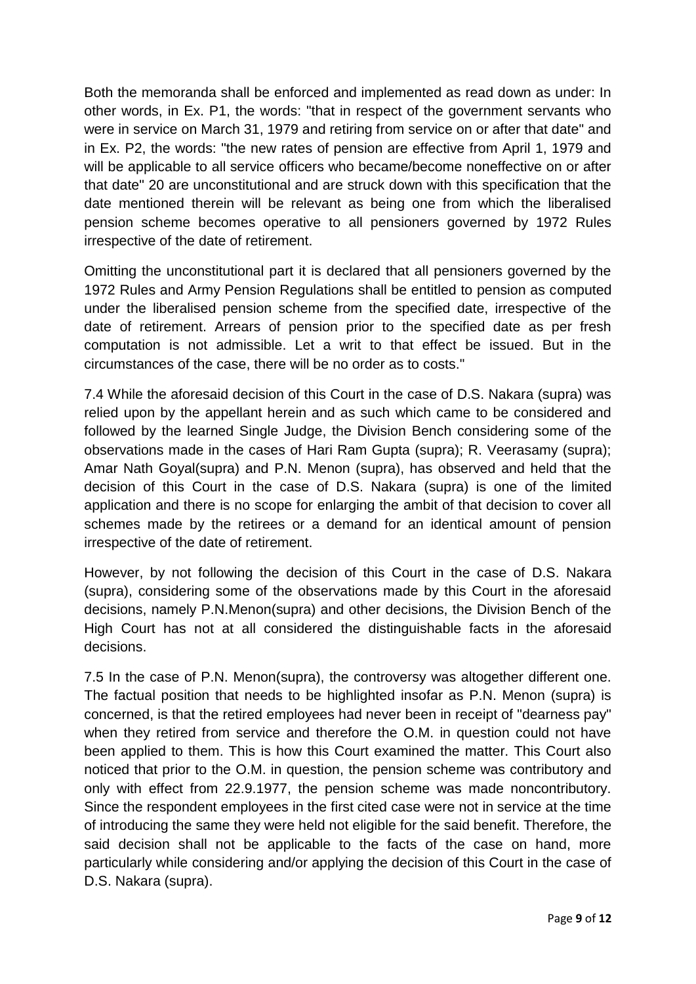Both the memoranda shall be enforced and implemented as read down as under: In other words, in Ex. P1, the words: "that in respect of the government servants who were in service on March 31, 1979 and retiring from service on or after that date" and in Ex. P2, the words: "the new rates of pension are effective from April 1, 1979 and will be applicable to all service officers who became/become noneffective on or after that date" 20 are unconstitutional and are struck down with this specification that the date mentioned therein will be relevant as being one from which the liberalised pension scheme becomes operative to all pensioners governed by 1972 Rules irrespective of the date of retirement.

Omitting the unconstitutional part it is declared that all pensioners governed by the 1972 Rules and Army Pension Regulations shall be entitled to pension as computed under the liberalised pension scheme from the specified date, irrespective of the date of retirement. Arrears of pension prior to the specified date as per fresh computation is not admissible. Let a writ to that effect be issued. But in the circumstances of the case, there will be no order as to costs."

7.4 While the aforesaid decision of this Court in the case of D.S. Nakara (supra) was relied upon by the appellant herein and as such which came to be considered and followed by the learned Single Judge, the Division Bench considering some of the observations made in the cases of Hari Ram Gupta (supra); R. Veerasamy (supra); Amar Nath Goyal(supra) and P.N. Menon (supra), has observed and held that the decision of this Court in the case of D.S. Nakara (supra) is one of the limited application and there is no scope for enlarging the ambit of that decision to cover all schemes made by the retirees or a demand for an identical amount of pension irrespective of the date of retirement.

However, by not following the decision of this Court in the case of D.S. Nakara (supra), considering some of the observations made by this Court in the aforesaid decisions, namely P.N.Menon(supra) and other decisions, the Division Bench of the High Court has not at all considered the distinguishable facts in the aforesaid decisions.

7.5 In the case of P.N. Menon(supra), the controversy was altogether different one. The factual position that needs to be highlighted insofar as P.N. Menon (supra) is concerned, is that the retired employees had never been in receipt of "dearness pay" when they retired from service and therefore the O.M. in question could not have been applied to them. This is how this Court examined the matter. This Court also noticed that prior to the O.M. in question, the pension scheme was contributory and only with effect from 22.9.1977, the pension scheme was made noncontributory. Since the respondent employees in the first cited case were not in service at the time of introducing the same they were held not eligible for the said benefit. Therefore, the said decision shall not be applicable to the facts of the case on hand, more particularly while considering and/or applying the decision of this Court in the case of D.S. Nakara (supra).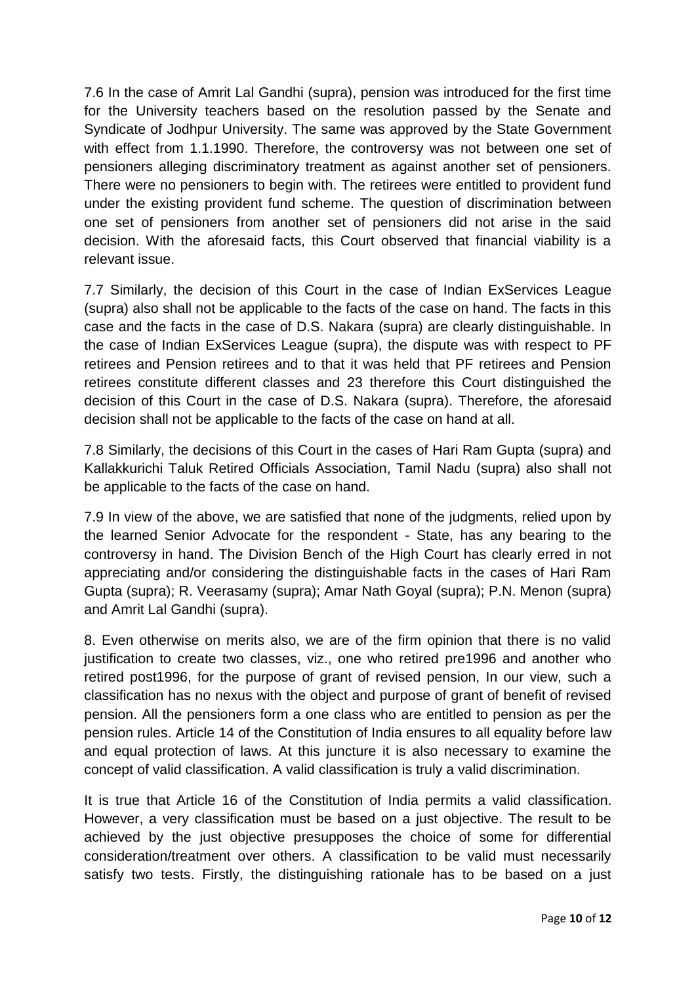7.6 In the case of Amrit Lal Gandhi (supra), pension was introduced for the first time for the University teachers based on the resolution passed by the Senate and Syndicate of Jodhpur University. The same was approved by the State Government with effect from 1.1.1990. Therefore, the controversy was not between one set of pensioners alleging discriminatory treatment as against another set of pensioners. There were no pensioners to begin with. The retirees were entitled to provident fund under the existing provident fund scheme. The question of discrimination between one set of pensioners from another set of pensioners did not arise in the said decision. With the aforesaid facts, this Court observed that financial viability is a relevant issue.

7.7 Similarly, the decision of this Court in the case of Indian ExServices League (supra) also shall not be applicable to the facts of the case on hand. The facts in this case and the facts in the case of D.S. Nakara (supra) are clearly distinguishable. In the case of Indian ExServices League (supra), the dispute was with respect to PF retirees and Pension retirees and to that it was held that PF retirees and Pension retirees constitute different classes and 23 therefore this Court distinguished the decision of this Court in the case of D.S. Nakara (supra). Therefore, the aforesaid decision shall not be applicable to the facts of the case on hand at all.

7.8 Similarly, the decisions of this Court in the cases of Hari Ram Gupta (supra) and Kallakkurichi Taluk Retired Officials Association, Tamil Nadu (supra) also shall not be applicable to the facts of the case on hand.

7.9 In view of the above, we are satisfied that none of the judgments, relied upon by the learned Senior Advocate for the respondent - State, has any bearing to the controversy in hand. The Division Bench of the High Court has clearly erred in not appreciating and/or considering the distinguishable facts in the cases of Hari Ram Gupta (supra); R. Veerasamy (supra); Amar Nath Goyal (supra); P.N. Menon (supra) and Amrit Lal Gandhi (supra).

8. Even otherwise on merits also, we are of the firm opinion that there is no valid justification to create two classes, viz., one who retired pre1996 and another who retired post1996, for the purpose of grant of revised pension, In our view, such a classification has no nexus with the object and purpose of grant of benefit of revised pension. All the pensioners form a one class who are entitled to pension as per the pension rules. Article 14 of the Constitution of India ensures to all equality before law and equal protection of laws. At this juncture it is also necessary to examine the concept of valid classification. A valid classification is truly a valid discrimination.

It is true that Article 16 of the Constitution of India permits a valid classification. However, a very classification must be based on a just objective. The result to be achieved by the just objective presupposes the choice of some for differential consideration/treatment over others. A classification to be valid must necessarily satisfy two tests. Firstly, the distinguishing rationale has to be based on a just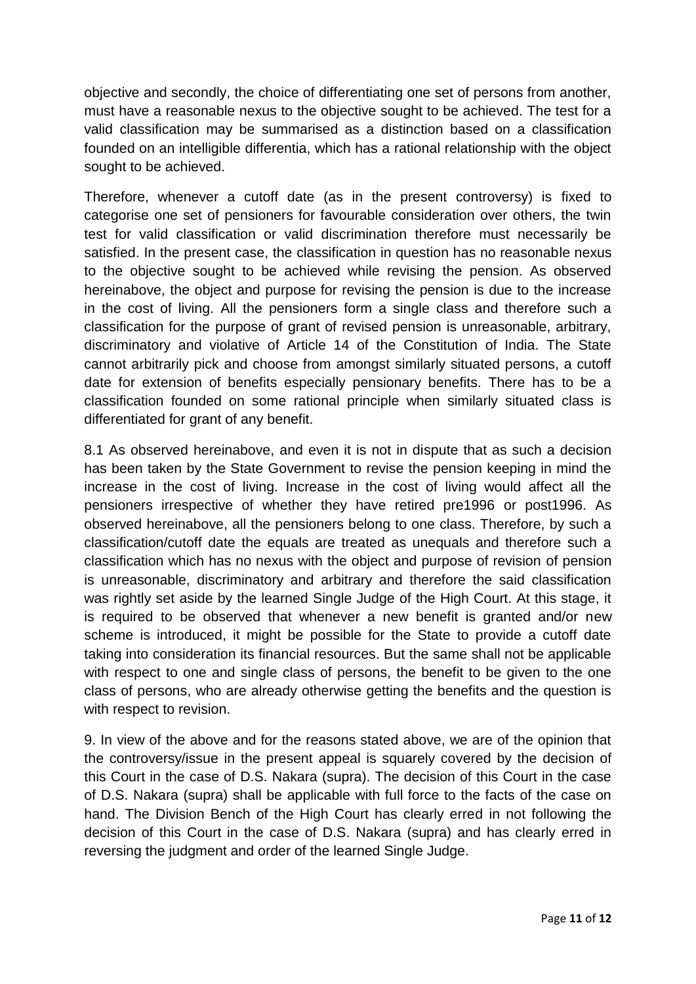objective and secondly, the choice of differentiating one set of persons from another, must have a reasonable nexus to the objective sought to be achieved. The test for a valid classification may be summarised as a distinction based on a classification founded on an intelligible differentia, which has a rational relationship with the object sought to be achieved.

Therefore, whenever a cutoff date (as in the present controversy) is fixed to categorise one set of pensioners for favourable consideration over others, the twin test for valid classification or valid discrimination therefore must necessarily be satisfied. In the present case, the classification in question has no reasonable nexus to the objective sought to be achieved while revising the pension. As observed hereinabove, the object and purpose for revising the pension is due to the increase in the cost of living. All the pensioners form a single class and therefore such a classification for the purpose of grant of revised pension is unreasonable, arbitrary, discriminatory and violative of Article 14 of the Constitution of India. The State cannot arbitrarily pick and choose from amongst similarly situated persons, a cutoff date for extension of benefits especially pensionary benefits. There has to be a classification founded on some rational principle when similarly situated class is differentiated for grant of any benefit.

8.1 As observed hereinabove, and even it is not in dispute that as such a decision has been taken by the State Government to revise the pension keeping in mind the increase in the cost of living. Increase in the cost of living would affect all the pensioners irrespective of whether they have retired pre1996 or post1996. As observed hereinabove, all the pensioners belong to one class. Therefore, by such a classification/cutoff date the equals are treated as unequals and therefore such a classification which has no nexus with the object and purpose of revision of pension is unreasonable, discriminatory and arbitrary and therefore the said classification was rightly set aside by the learned Single Judge of the High Court. At this stage, it is required to be observed that whenever a new benefit is granted and/or new scheme is introduced, it might be possible for the State to provide a cutoff date taking into consideration its financial resources. But the same shall not be applicable with respect to one and single class of persons, the benefit to be given to the one class of persons, who are already otherwise getting the benefits and the question is with respect to revision.

9. In view of the above and for the reasons stated above, we are of the opinion that the controversy/issue in the present appeal is squarely covered by the decision of this Court in the case of D.S. Nakara (supra). The decision of this Court in the case of D.S. Nakara (supra) shall be applicable with full force to the facts of the case on hand. The Division Bench of the High Court has clearly erred in not following the decision of this Court in the case of D.S. Nakara (supra) and has clearly erred in reversing the judgment and order of the learned Single Judge.